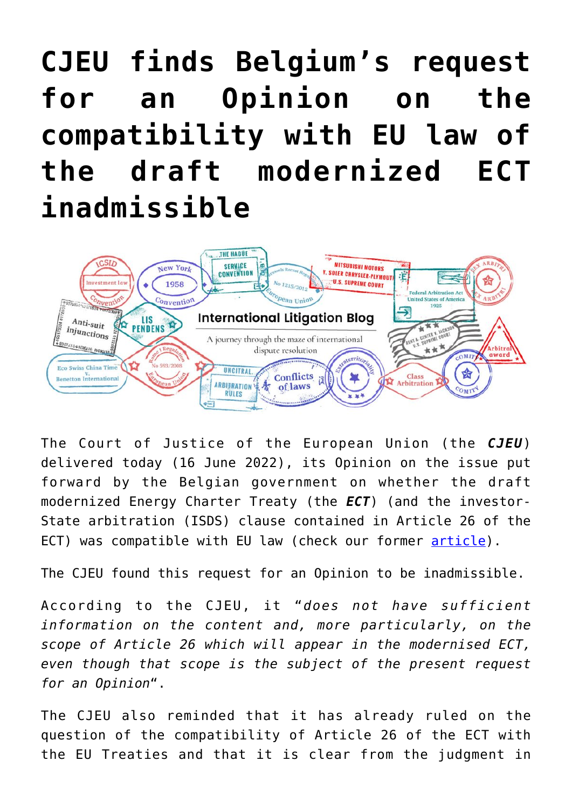## **[CJEU finds Belgium's request](https://international-litigation-blog.com/cjeu-finds-belgiums-request-for-an-opinion-on-the-compatibility-with-eu-law-of-the-draft-modernized-ect-inadmissible/) [for an Opinion on the](https://international-litigation-blog.com/cjeu-finds-belgiums-request-for-an-opinion-on-the-compatibility-with-eu-law-of-the-draft-modernized-ect-inadmissible/) [compatibility with EU law of](https://international-litigation-blog.com/cjeu-finds-belgiums-request-for-an-opinion-on-the-compatibility-with-eu-law-of-the-draft-modernized-ect-inadmissible/) [the draft modernized ECT](https://international-litigation-blog.com/cjeu-finds-belgiums-request-for-an-opinion-on-the-compatibility-with-eu-law-of-the-draft-modernized-ect-inadmissible/) [inadmissible](https://international-litigation-blog.com/cjeu-finds-belgiums-request-for-an-opinion-on-the-compatibility-with-eu-law-of-the-draft-modernized-ect-inadmissible/)**



The Court of Justice of the European Union (the *CJEU*) delivered today (16 June 2022), its Opinion on the issue put forward by the Belgian government on whether the draft modernized Energy Charter Treaty (the *ECT*) (and the investor-State arbitration (ISDS) clause contained in Article 26 of the ECT) was compatible with EU law (check our former [article\)](http://international-litigation-blog.com/belgium-requests-opinion-on-application-of-energy-charter-treaty-in-intra-eu-isds-disputes/).

The CJEU found this request for an Opinion to be inadmissible.

According to the CJEU, it "*does not have sufficient information on the content and, more particularly, on the scope of Article 26 which will appear in the modernised ECT, even though that scope is the subject of the present request for an Opinion*".

The CJEU also reminded that it has already ruled on the question of the compatibility of Article 26 of the ECT with the EU Treaties and that it is clear from the judgment in